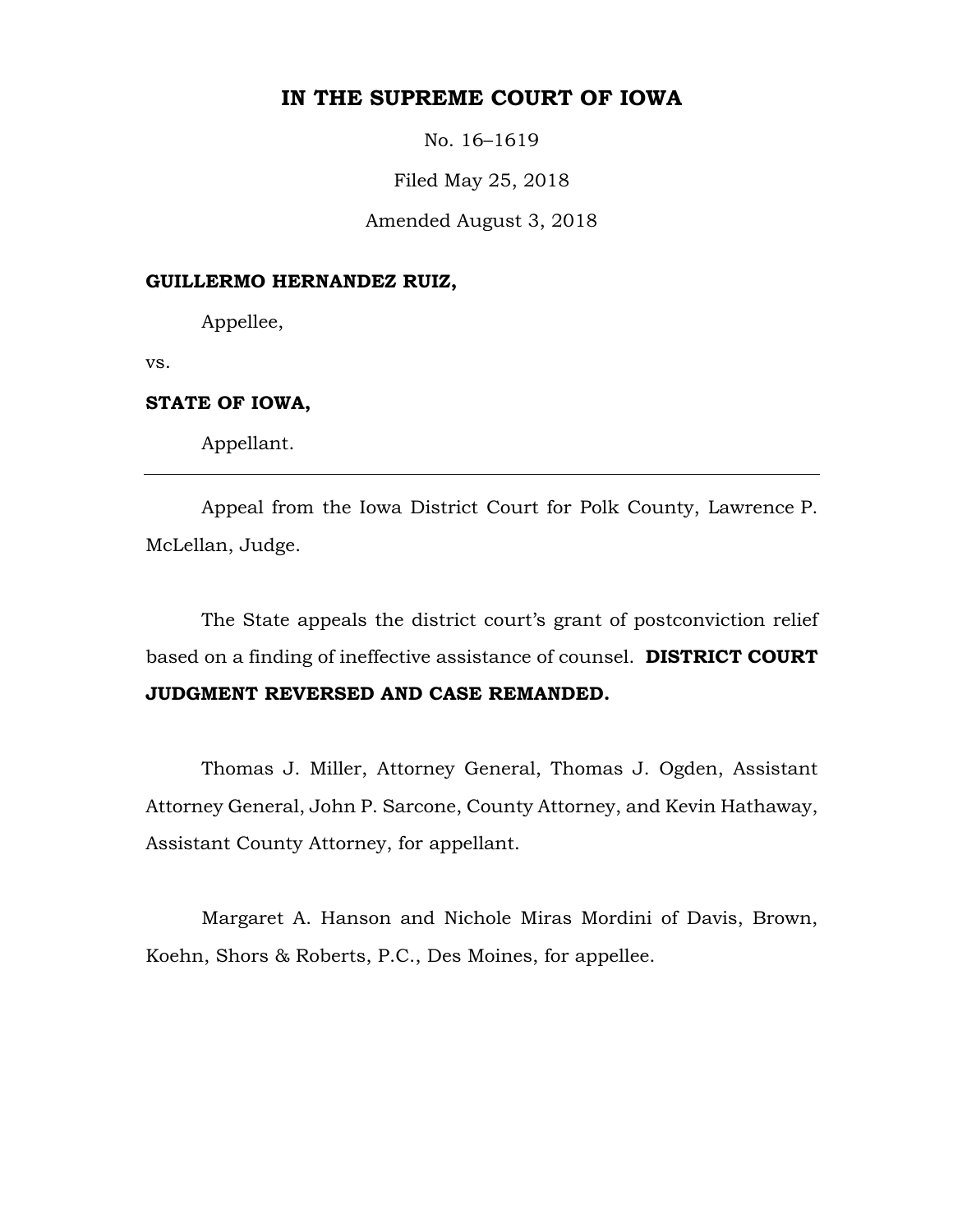# **IN THE SUPREME COURT OF IOWA**

No. 16–1619

Filed May 25, 2018

Amended August 3, 2018

### **GUILLERMO HERNANDEZ RUIZ,**

Appellee,

vs.

## **STATE OF IOWA,**

Appellant.

Appeal from the Iowa District Court for Polk County, Lawrence P. McLellan, Judge.

The State appeals the district court's grant of postconviction relief based on a finding of ineffective assistance of counsel. **DISTRICT COURT JUDGMENT REVERSED AND CASE REMANDED.**

Thomas J. Miller, Attorney General, Thomas J. Ogden, Assistant Attorney General, John P. Sarcone, County Attorney, and Kevin Hathaway, Assistant County Attorney, for appellant.

Margaret A. Hanson and Nichole Miras Mordini of Davis, Brown, Koehn, Shors & Roberts, P.C., Des Moines, for appellee.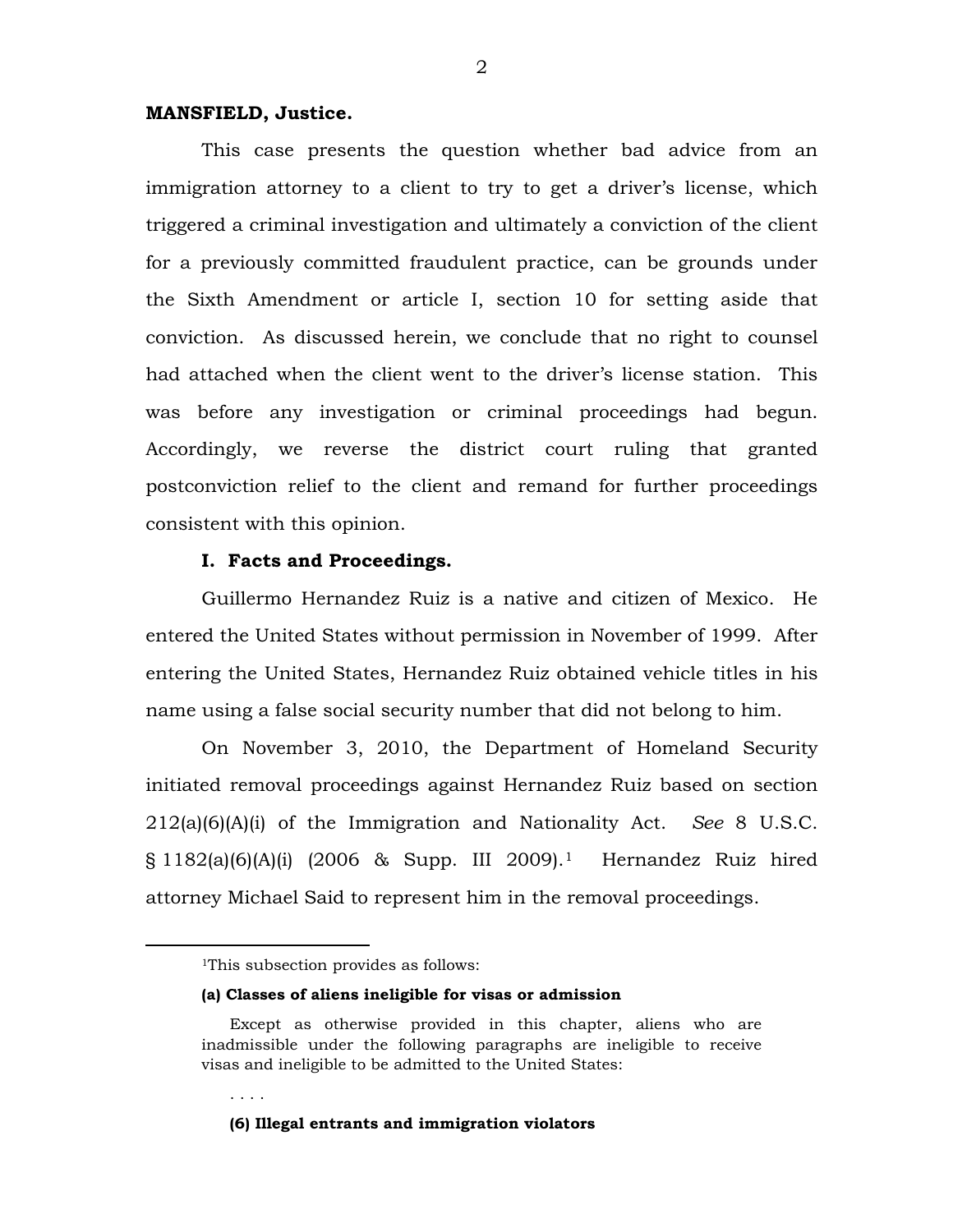### **MANSFIELD, Justice.**

This case presents the question whether bad advice from an immigration attorney to a client to try to get a driver's license, which triggered a criminal investigation and ultimately a conviction of the client for a previously committed fraudulent practice, can be grounds under the Sixth Amendment or article I, section 10 for setting aside that conviction. As discussed herein, we conclude that no right to counsel had attached when the client went to the driver's license station. This was before any investigation or criminal proceedings had begun. Accordingly, we reverse the district court ruling that granted postconviction relief to the client and remand for further proceedings consistent with this opinion.

## **I. Facts and Proceedings.**

Guillermo Hernandez Ruiz is a native and citizen of Mexico. He entered the United States without permission in November of 1999. After entering the United States, Hernandez Ruiz obtained vehicle titles in his name using a false social security number that did not belong to him.

On November 3, 2010, the Department of Homeland Security initiated removal proceedings against Hernandez Ruiz based on section 212(a)(6)(A)(i) of the Immigration and Nationality Act. *See* 8 U.S.C. § 1182(a)(6)(A)(i) (2006 & Supp. III 2009).[1](#page-1-0) Hernandez Ruiz hired attorney Michael Said to represent him in the removal proceedings.

. . . .

#### **(a) Classes of aliens ineligible for visas or admission**

**(6) Illegal entrants and immigration violators**

<span id="page-1-0"></span> <sup>1</sup>This subsection provides as follows:

Except as otherwise provided in this chapter, aliens who are inadmissible under the following paragraphs are ineligible to receive visas and ineligible to be admitted to the United States: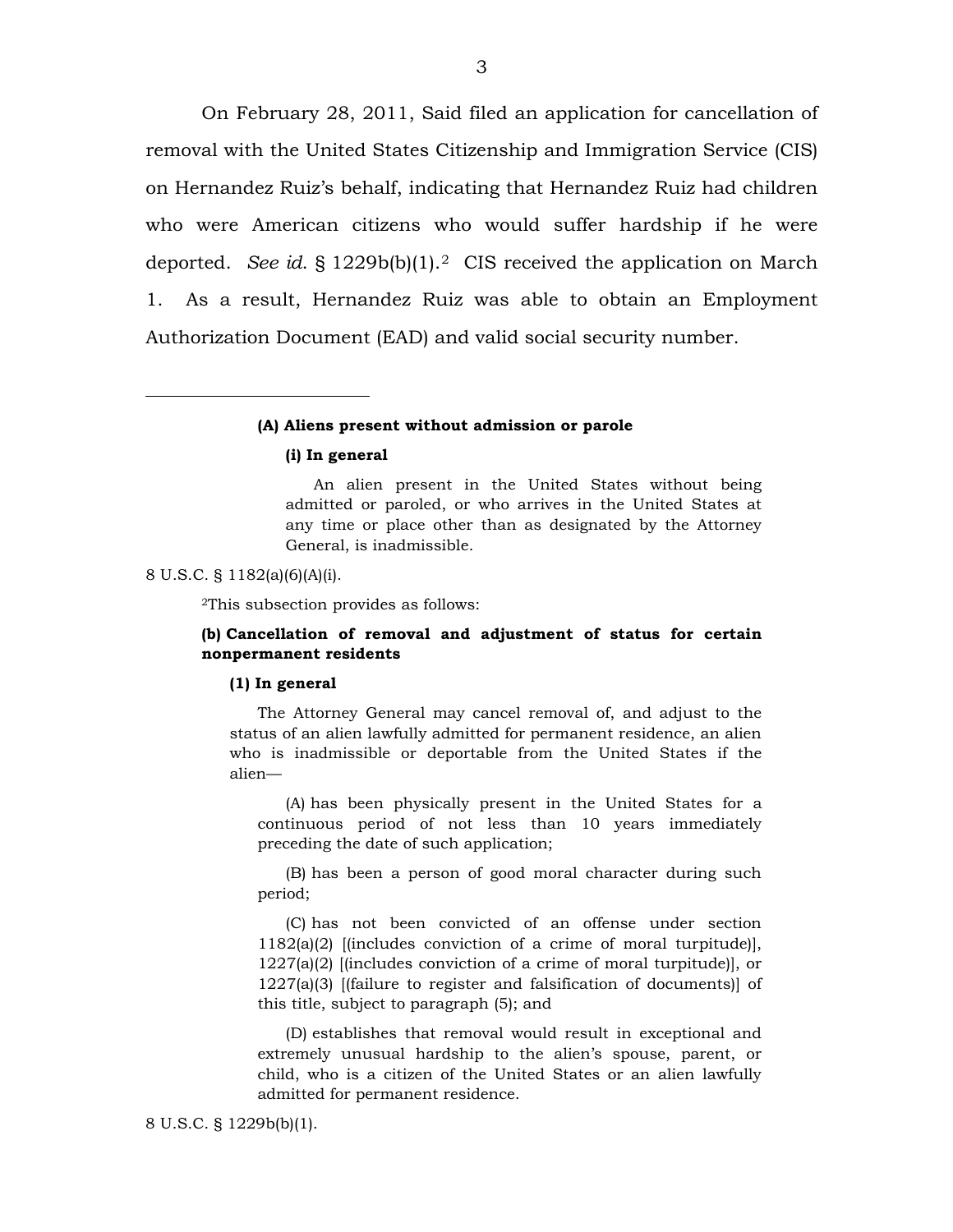On February 28, 2011, Said filed an application for cancellation of removal with the United States Citizenship and Immigration Service (CIS) on Hernandez Ruiz's behalf, indicating that Hernandez Ruiz had children who were American citizens who would suffer hardship if he were deported. *See id*. § 1229b(b)(1).[2](#page-2-0) CIS received the application on March 1. As a result, Hernandez Ruiz was able to obtain an Employment Authorization Document (EAD) and valid social security number.

#### **(A) Aliens present without admission or parole**

#### **(i) In general**

An alien present in the United States without being admitted or paroled, or who arrives in the United States at any time or place other than as designated by the Attorney General, is inadmissible.

#### <span id="page-2-0"></span>8 U.S.C. § 1182(a)(6)(A)(i).

 $\overline{a}$ 

2This subsection provides as follows:

### **(b) Cancellation of removal and adjustment of status for certain nonpermanent residents**

#### **(1) In general**

The Attorney General may cancel removal of, and adjust to the status of an alien lawfully admitted for permanent residence, an alien who is inadmissible or deportable from the United States if the alien—

(A) has been physically present in the United States for a continuous period of not less than 10 years immediately preceding the date of such application;

(B) has been a person of good moral character during such period;

(C) has not been convicted of an offense under section 1182(a)(2) [(includes conviction of a crime of moral turpitude)], 1227(a)(2) [(includes conviction of a crime of moral turpitude)], or 1227(a)(3) [(failure to register and falsification of documents)] of this title, subject to paragraph (5); and

(D) establishes that removal would result in exceptional and extremely unusual hardship to the alien's spouse, parent, or child, who is a citizen of the United States or an alien lawfully admitted for permanent residence.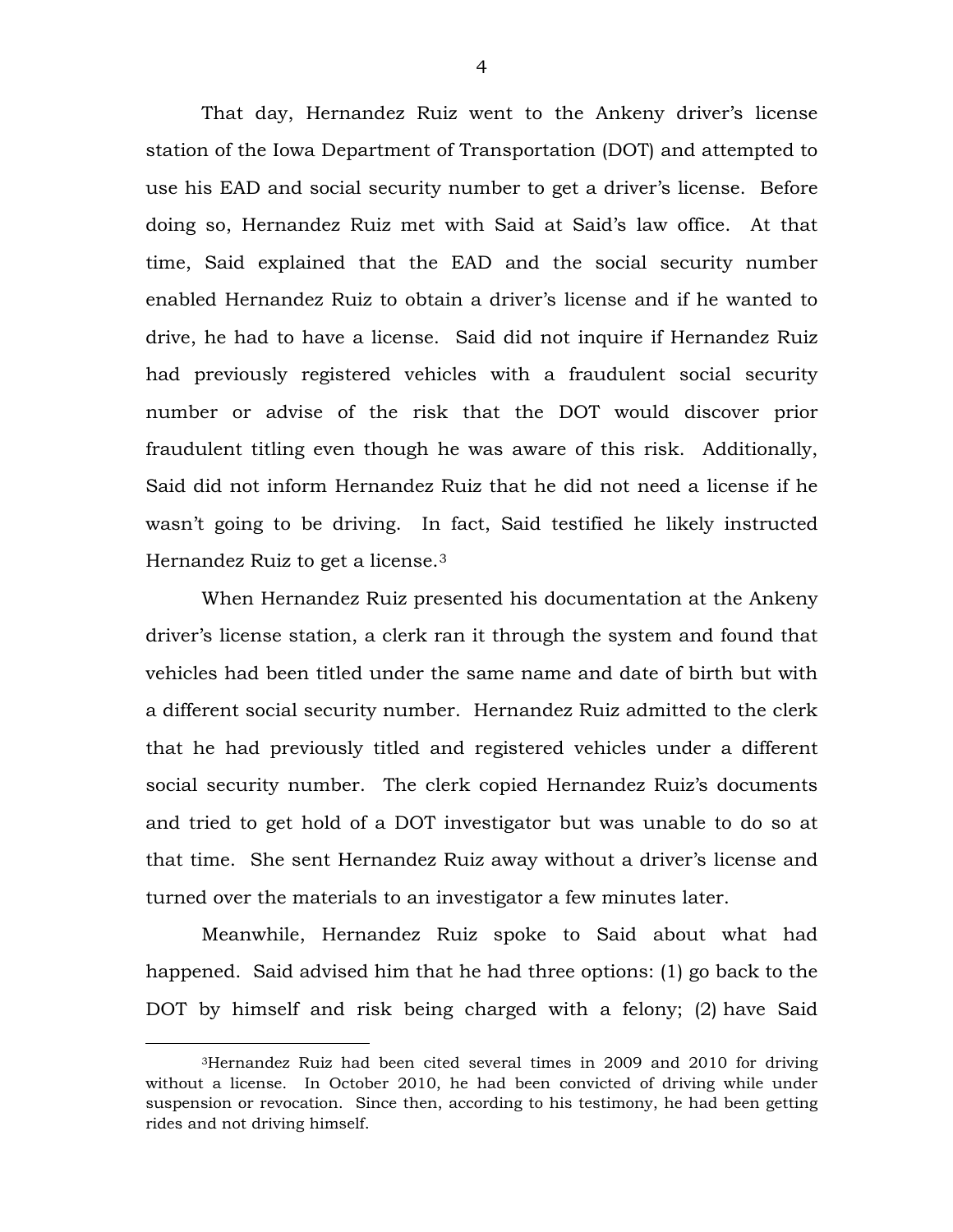That day, Hernandez Ruiz went to the Ankeny driver's license station of the Iowa Department of Transportation (DOT) and attempted to use his EAD and social security number to get a driver's license. Before doing so, Hernandez Ruiz met with Said at Said's law office. At that time, Said explained that the EAD and the social security number enabled Hernandez Ruiz to obtain a driver's license and if he wanted to drive, he had to have a license. Said did not inquire if Hernandez Ruiz had previously registered vehicles with a fraudulent social security number or advise of the risk that the DOT would discover prior fraudulent titling even though he was aware of this risk. Additionally, Said did not inform Hernandez Ruiz that he did not need a license if he wasn't going to be driving. In fact, Said testified he likely instructed Hernandez Ruiz to get a license.[3](#page-3-0)

When Hernandez Ruiz presented his documentation at the Ankeny driver's license station, a clerk ran it through the system and found that vehicles had been titled under the same name and date of birth but with a different social security number. Hernandez Ruiz admitted to the clerk that he had previously titled and registered vehicles under a different social security number. The clerk copied Hernandez Ruiz's documents and tried to get hold of a DOT investigator but was unable to do so at that time. She sent Hernandez Ruiz away without a driver's license and turned over the materials to an investigator a few minutes later.

Meanwhile, Hernandez Ruiz spoke to Said about what had happened. Said advised him that he had three options: (1) go back to the DOT by himself and risk being charged with a felony; (2) have Said

<span id="page-3-0"></span> <sup>3</sup>Hernandez Ruiz had been cited several times in 2009 and 2010 for driving without a license. In October 2010, he had been convicted of driving while under suspension or revocation. Since then, according to his testimony, he had been getting rides and not driving himself.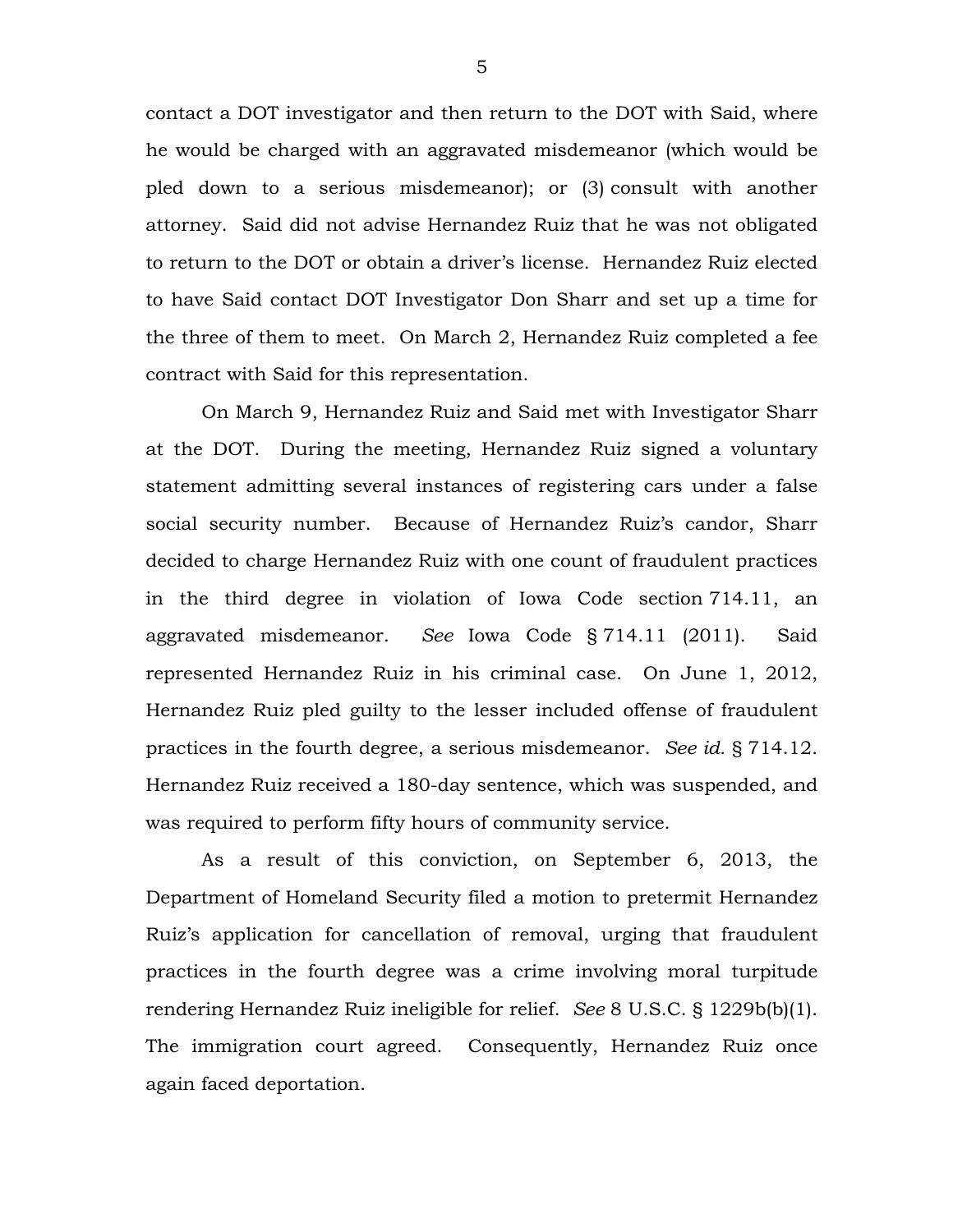contact a DOT investigator and then return to the DOT with Said, where he would be charged with an aggravated misdemeanor (which would be pled down to a serious misdemeanor); or (3) consult with another attorney. Said did not advise Hernandez Ruiz that he was not obligated to return to the DOT or obtain a driver's license. Hernandez Ruiz elected to have Said contact DOT Investigator Don Sharr and set up a time for the three of them to meet. On March 2, Hernandez Ruiz completed a fee contract with Said for this representation.

On March 9, Hernandez Ruiz and Said met with Investigator Sharr at the DOT. During the meeting, Hernandez Ruiz signed a voluntary statement admitting several instances of registering cars under a false social security number. Because of Hernandez Ruiz's candor, Sharr decided to charge Hernandez Ruiz with one count of fraudulent practices in the third degree in violation of Iowa Code section 714.11, an aggravated misdemeanor. *See* Iowa Code § 714.11 (2011). Said represented Hernandez Ruiz in his criminal case. On June 1, 2012, Hernandez Ruiz pled guilty to the lesser included offense of fraudulent practices in the fourth degree, a serious misdemeanor. *See id.* § 714.12. Hernandez Ruiz received a 180-day sentence, which was suspended, and was required to perform fifty hours of community service.

As a result of this conviction, on September 6, 2013, the Department of Homeland Security filed a motion to pretermit Hernandez Ruiz's application for cancellation of removal, urging that fraudulent practices in the fourth degree was a crime involving moral turpitude rendering Hernandez Ruiz ineligible for relief. *See* 8 U.S.C. § 1229b(b)(1). The immigration court agreed. Consequently, Hernandez Ruiz once again faced deportation.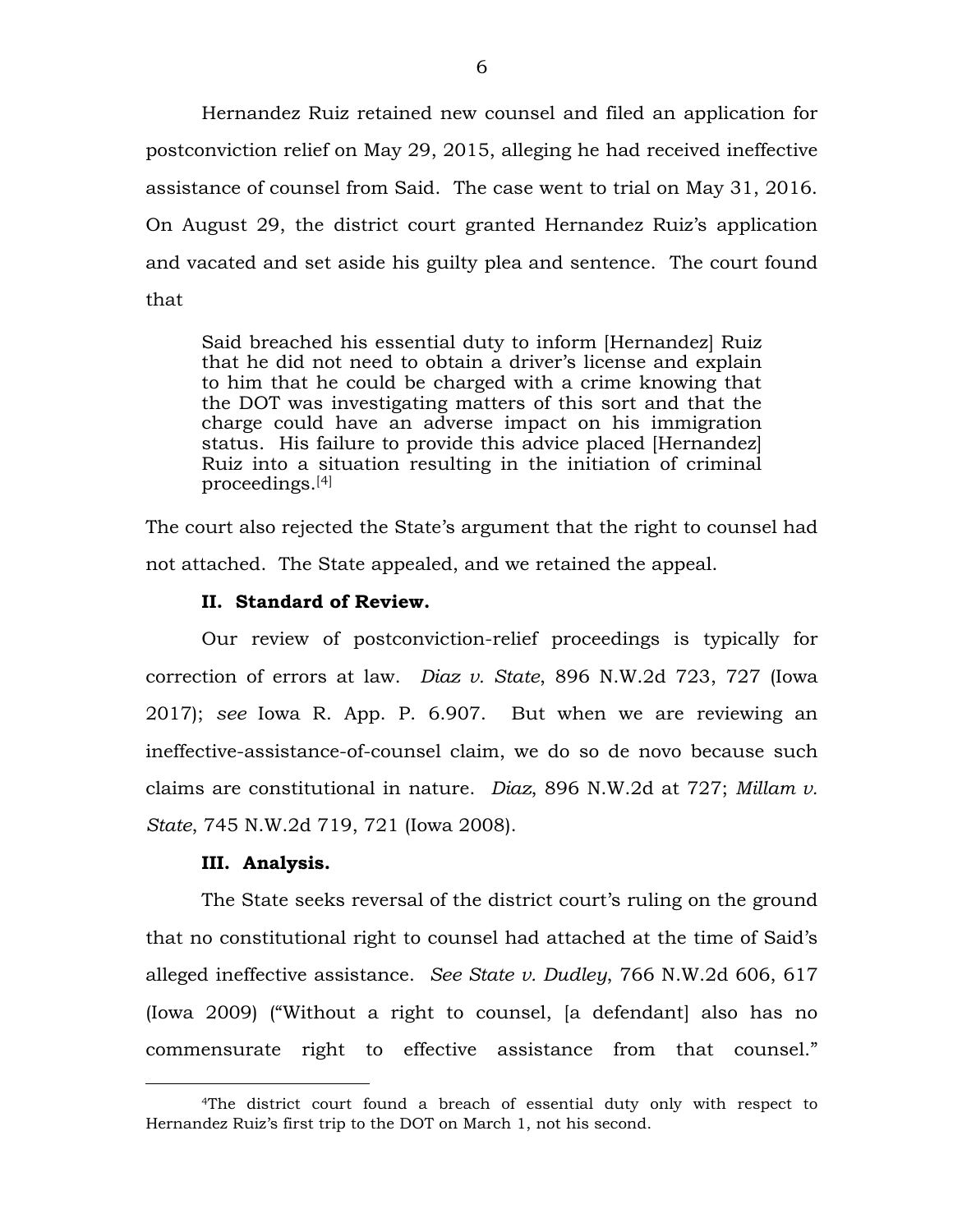Hernandez Ruiz retained new counsel and filed an application for postconviction relief on May 29, 2015, alleging he had received ineffective assistance of counsel from Said. The case went to trial on May 31, 2016. On August 29, the district court granted Hernandez Ruiz's application and vacated and set aside his guilty plea and sentence. The court found that

Said breached his essential duty to inform [Hernandez] Ruiz that he did not need to obtain a driver's license and explain to him that he could be charged with a crime knowing that the DOT was investigating matters of this sort and that the charge could have an adverse impact on his immigration status. His failure to provide this advice placed [Hernandez] Ruiz into a situation resulting in the initiation of criminal proceedings.[[4](#page-5-0)]

The court also rejected the State's argument that the right to counsel had not attached. The State appealed, and we retained the appeal.

## **II. Standard of Review.**

Our review of postconviction-relief proceedings is typically for correction of errors at law. *Diaz v. State*, 896 N.W.2d 723, 727 (Iowa 2017); *see* Iowa R. App. P. 6.907. But when we are reviewing an ineffective-assistance-of-counsel claim, we do so de novo because such claims are constitutional in nature. *Diaz*, 896 N.W.2d at 727; *Millam v. State*, 745 N.W.2d 719, 721 (Iowa 2008).

### **III. Analysis.**

The State seeks reversal of the district court's ruling on the ground that no constitutional right to counsel had attached at the time of Said's alleged ineffective assistance. *See State v. Dudley*, 766 N.W.2d 606, 617 (Iowa 2009) ("Without a right to counsel, [a defendant] also has no commensurate right to effective assistance from that counsel."

<span id="page-5-0"></span> <sup>4</sup>The district court found a breach of essential duty only with respect to Hernandez Ruiz's first trip to the DOT on March 1, not his second.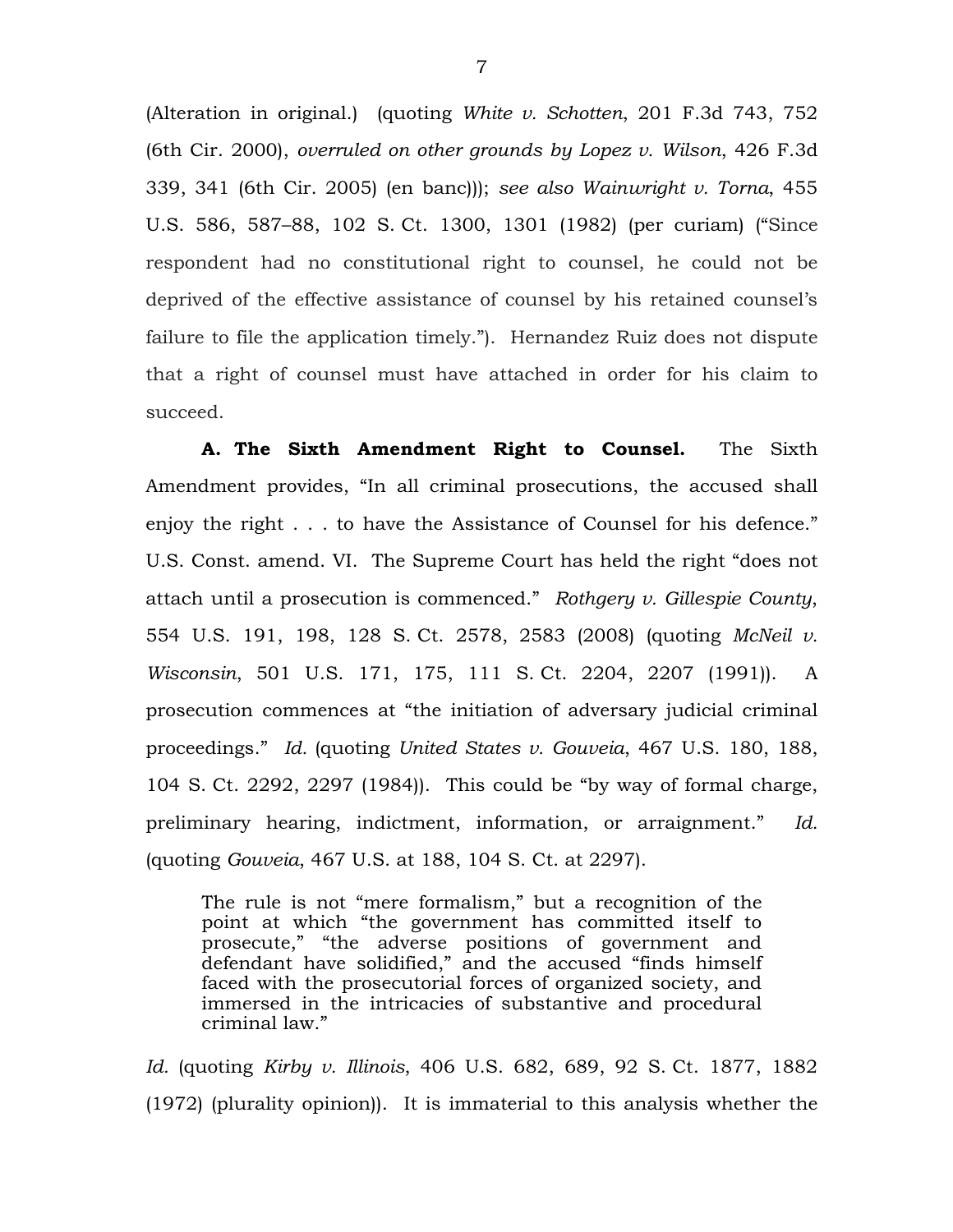(Alteration in original.) (quoting *White v. Schotten*, 201 F.3d 743, 752 (6th Cir. 2000), *overruled on other grounds by Lopez v. Wilson*, 426 F.3d 339, 341 (6th Cir. 2005) (en banc))); *see also Wainwright v. Torna*, 455 U.S. 586, 587–88, 102 S. Ct. 1300, 1301 (1982) (per curiam) ("Since respondent had no constitutional right to counsel, he could not be deprived of the effective assistance of counsel by his retained counsel's failure to file the application timely."). Hernandez Ruiz does not dispute that a right of counsel must have attached in order for his claim to succeed.

**A. The Sixth Amendment Right to Counsel.** The Sixth Amendment provides, "In all criminal prosecutions, the accused shall enjoy the right . . . to have the Assistance of Counsel for his defence." U.S. Const. amend. VI. The Supreme Court has held the right "does not attach until a prosecution is commenced." *Rothgery v. Gillespie County*, 554 U.S. 191, 198, 128 S. Ct. 2578, 2583 (2008) (quoting *McNeil v. Wisconsin*, 501 U.S. 171, 175, 111 S. Ct. 2204, 2207 (1991)). A prosecution commences at "the initiation of adversary judicial criminal proceedings." *Id.* (quoting *United States v. Gouveia*, 467 U.S. 180, 188, 104 S. Ct. 2292, 2297 (1984)). This could be "by way of formal charge, preliminary hearing, indictment, information, or arraignment." *Id.*  (quoting *Gouveia*, 467 U.S. at 188, 104 S. Ct. at 2297).

The rule is not "mere formalism," but a recognition of the point at which "the government has committed itself to prosecute," "the adverse positions of government and defendant have solidified," and the accused "finds himself faced with the prosecutorial forces of organized society, and immersed in the intricacies of substantive and procedural criminal law."

*Id.* (quoting *Kirby v. Illinois*, 406 U.S. 682, 689, 92 S. Ct. 1877, 1882 (1972) (plurality opinion)). It is immaterial to this analysis whether the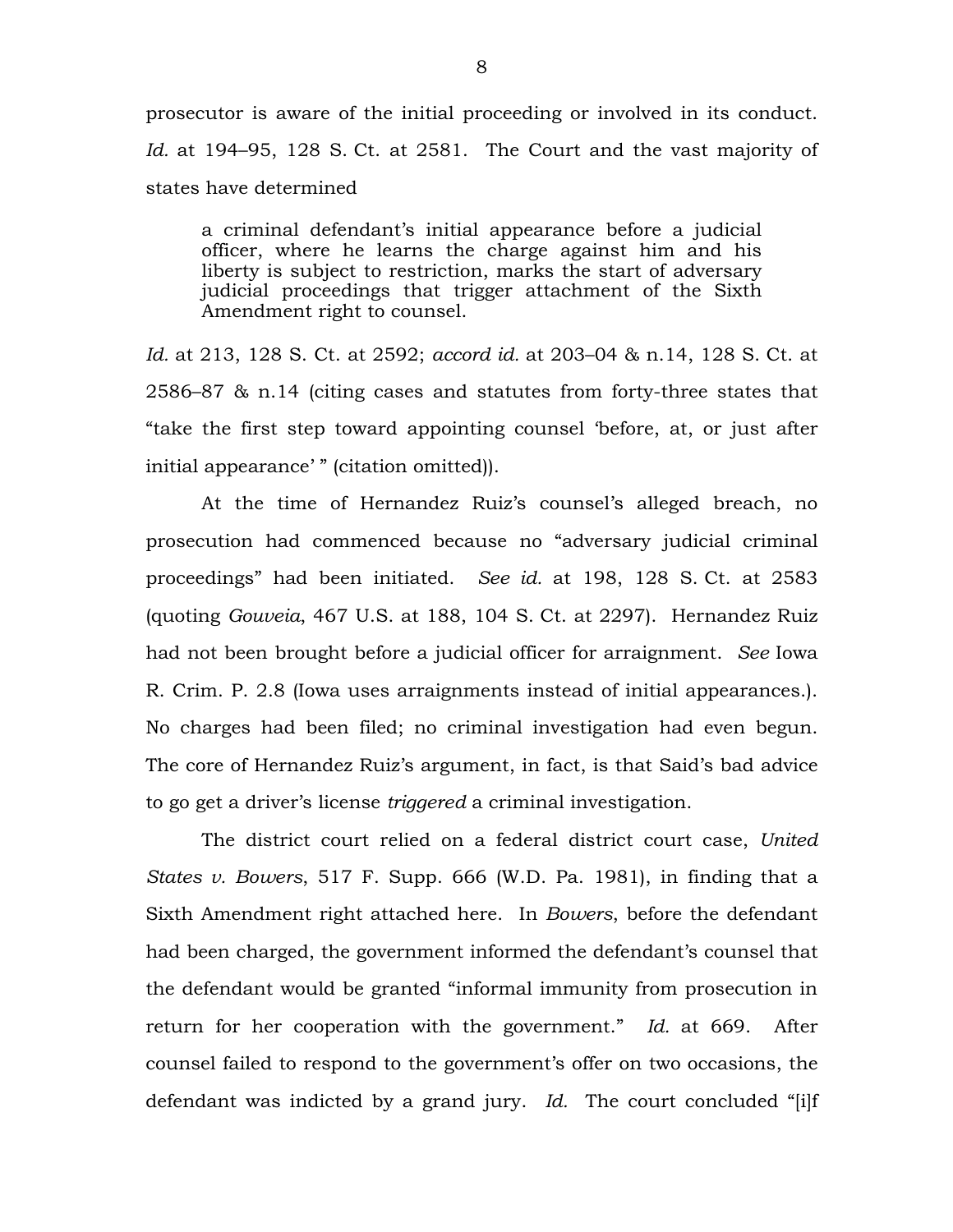prosecutor is aware of the initial proceeding or involved in its conduct. *Id.* at 194–95, 128 S. Ct. at 2581. The Court and the vast majority of states have determined

a criminal defendant's initial appearance before a judicial officer, where he learns the charge against him and his liberty is subject to restriction, marks the start of adversary judicial proceedings that trigger attachment of the Sixth Amendment right to counsel.

*Id.* at 213, 128 S. Ct. at 2592; *accord id.* at 203–04 & n.14, 128 S. Ct. at 2586–87 & n.14 (citing cases and statutes from forty-three states that "take the first step toward appointing counsel 'before, at, or just after initial appearance' " (citation omitted)).

At the time of Hernandez Ruiz's counsel's alleged breach, no prosecution had commenced because no "adversary judicial criminal proceedings" had been initiated. *See id.* at 198, 128 S. Ct. at 2583 (quoting *Gouveia*, 467 U.S. at 188, 104 S. Ct. at 2297). Hernandez Ruiz had not been brought before a judicial officer for arraignment. *See* Iowa R. Crim. P. 2.8 (Iowa uses arraignments instead of initial appearances.). No charges had been filed; no criminal investigation had even begun. The core of Hernandez Ruiz's argument, in fact, is that Said's bad advice to go get a driver's license *triggered* a criminal investigation.

The district court relied on a federal district court case, *United States v. Bowers*, 517 F. Supp. 666 (W.D. Pa. 1981), in finding that a Sixth Amendment right attached here. In *Bowers*, before the defendant had been charged, the government informed the defendant's counsel that the defendant would be granted "informal immunity from prosecution in return for her cooperation with the government." *Id.* at 669. After counsel failed to respond to the government's offer on two occasions, the defendant was indicted by a grand jury. *Id.* The court concluded "[i]f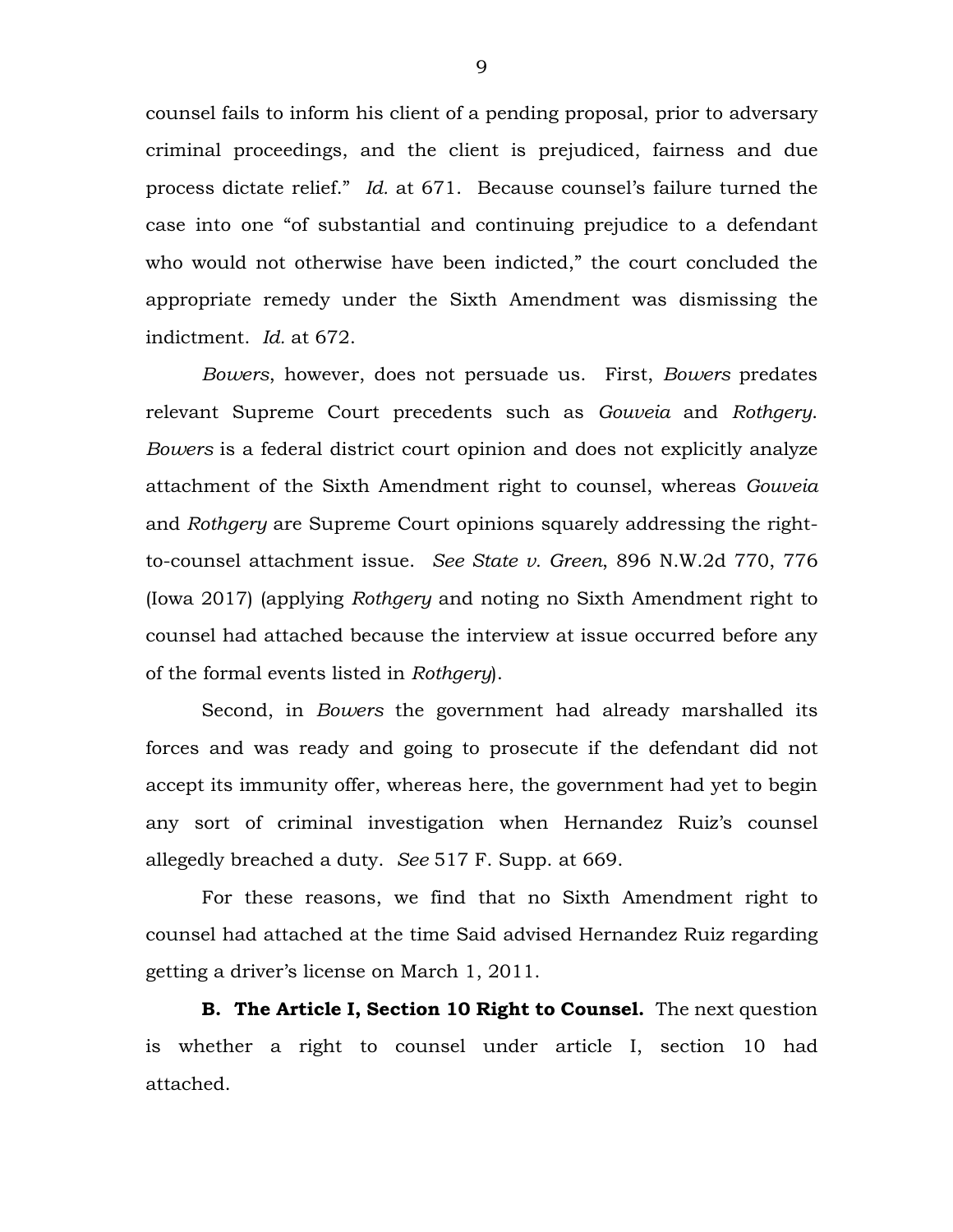counsel fails to inform his client of a pending proposal, prior to adversary criminal proceedings, and the client is prejudiced, fairness and due process dictate relief." *Id.* at 671. Because counsel's failure turned the case into one "of substantial and continuing prejudice to a defendant who would not otherwise have been indicted," the court concluded the appropriate remedy under the Sixth Amendment was dismissing the indictment. *Id.* at 672.

*Bowers*, however, does not persuade us. First, *Bowers* predates relevant Supreme Court precedents such as *Gouveia* and *Rothgery*. *Bowers* is a federal district court opinion and does not explicitly analyze attachment of the Sixth Amendment right to counsel, whereas *Gouveia*  and *Rothgery* are Supreme Court opinions squarely addressing the rightto-counsel attachment issue. *See State v. Green*, 896 N.W.2d 770, 776 (Iowa 2017) (applying *Rothgery* and noting no Sixth Amendment right to counsel had attached because the interview at issue occurred before any of the formal events listed in *Rothgery*).

Second, in *Bowers* the government had already marshalled its forces and was ready and going to prosecute if the defendant did not accept its immunity offer, whereas here, the government had yet to begin any sort of criminal investigation when Hernandez Ruiz's counsel allegedly breached a duty. *See* 517 F. Supp. at 669.

For these reasons, we find that no Sixth Amendment right to counsel had attached at the time Said advised Hernandez Ruiz regarding getting a driver's license on March 1, 2011.

**B. The Article I, Section 10 Right to Counsel.** The next question is whether a right to counsel under article I, section 10 had attached.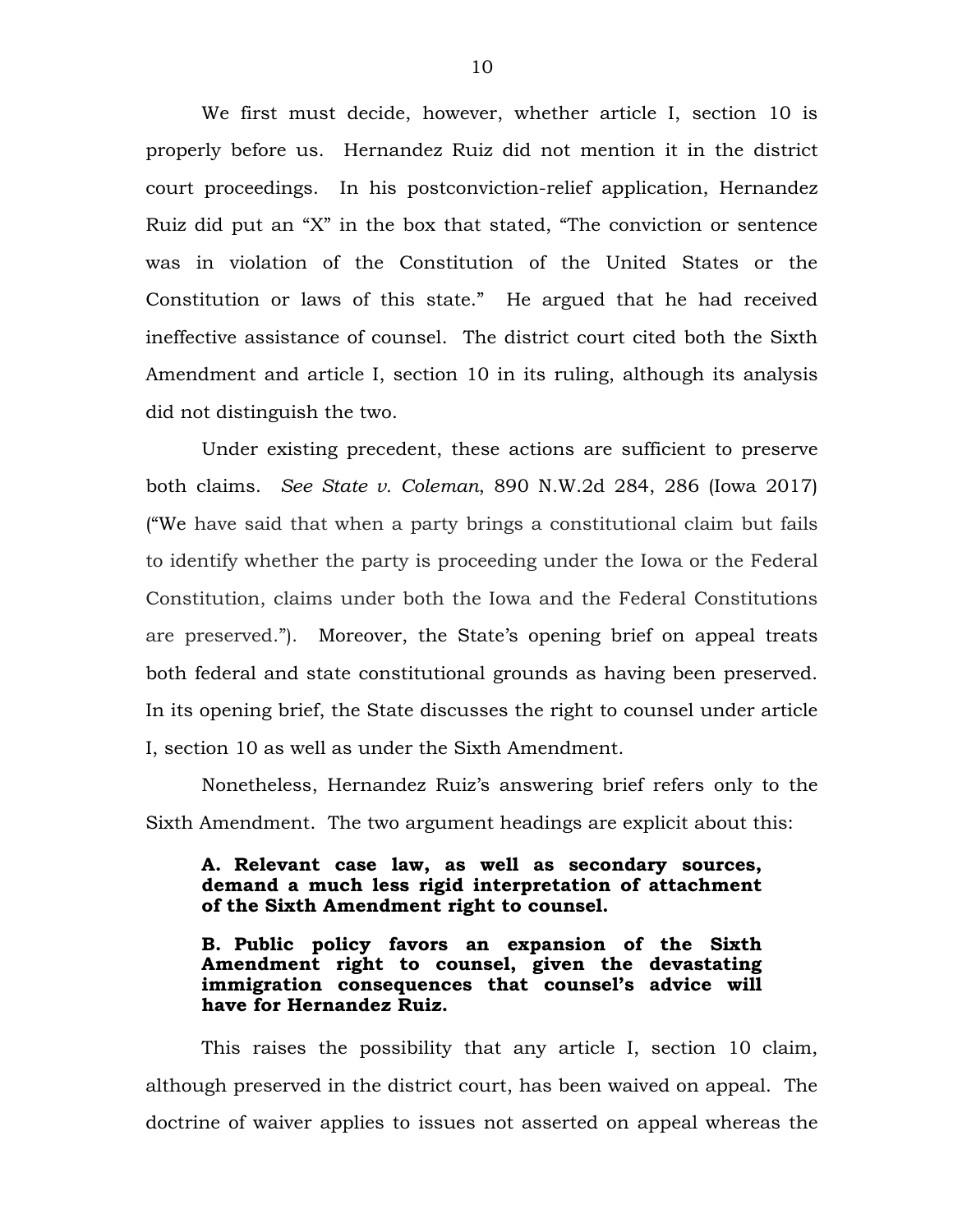We first must decide, however, whether article I, section 10 is properly before us. Hernandez Ruiz did not mention it in the district court proceedings. In his postconviction-relief application, Hernandez Ruiz did put an "X" in the box that stated, "The conviction or sentence was in violation of the Constitution of the United States or the Constitution or laws of this state." He argued that he had received ineffective assistance of counsel. The district court cited both the Sixth Amendment and article I, section 10 in its ruling, although its analysis did not distinguish the two.

Under existing precedent, these actions are sufficient to preserve both claims. *See State v. Coleman*, 890 N.W.2d 284, 286 (Iowa 2017) ("We have said that when a party brings a constitutional claim but fails to identify whether the party is proceeding under the Iowa or the Federal Constitution, claims under both the Iowa and the Federal Constitutions are preserved."). Moreover, the State's opening brief on appeal treats both federal and state constitutional grounds as having been preserved. In its opening brief, the State discusses the right to counsel under article I, section 10 as well as under the Sixth Amendment.

Nonetheless, Hernandez Ruiz's answering brief refers only to the Sixth Amendment. The two argument headings are explicit about this:

## **A. Relevant case law, as well as secondary sources, demand a much less rigid interpretation of attachment of the Sixth Amendment right to counsel.**

## **B. Public policy favors an expansion of the Sixth Amendment right to counsel, given the devastating immigration consequences that counsel's advice will have for Hernandez Ruiz.**

This raises the possibility that any article I, section 10 claim, although preserved in the district court, has been waived on appeal. The doctrine of waiver applies to issues not asserted on appeal whereas the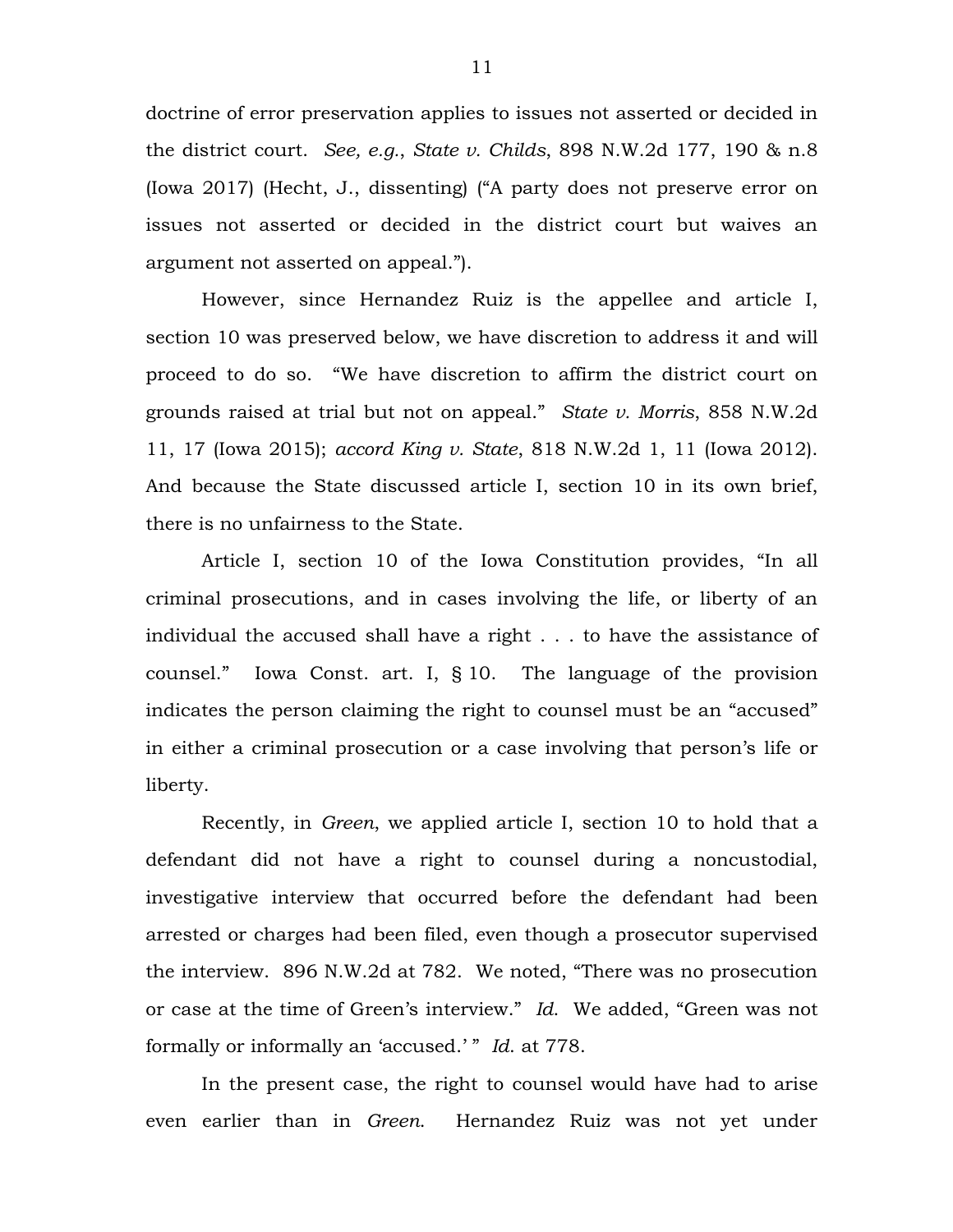doctrine of error preservation applies to issues not asserted or decided in the district court. *See, e.g.*, *State v. Childs*, 898 N.W.2d 177, 190 & n.8 (Iowa 2017) (Hecht, J., dissenting) ("A party does not preserve error on issues not asserted or decided in the district court but waives an argument not asserted on appeal.").

However, since Hernandez Ruiz is the appellee and article I, section 10 was preserved below, we have discretion to address it and will proceed to do so. "We have discretion to affirm the district court on grounds raised at trial but not on appeal." *State v. Morris*, 858 N.W.2d 11, 17 (Iowa 2015); *accord King v. State*, 818 N.W.2d 1, 11 (Iowa 2012). And because the State discussed article I, section 10 in its own brief, there is no unfairness to the State.

Article I, section 10 of the Iowa Constitution provides, "In all criminal prosecutions, and in cases involving the life, or liberty of an individual the accused shall have a right . . . to have the assistance of counsel." Iowa Const. art. I, § 10. The language of the provision indicates the person claiming the right to counsel must be an "accused" in either a criminal prosecution or a case involving that person's life or liberty.

Recently, in *Green*, we applied article I, section 10 to hold that a defendant did not have a right to counsel during a noncustodial, investigative interview that occurred before the defendant had been arrested or charges had been filed, even though a prosecutor supervised the interview. 896 N.W.2d at 782. We noted, "There was no prosecution or case at the time of Green's interview." *Id*. We added, "Green was not formally or informally an 'accused.' " *Id*. at 778.

In the present case, the right to counsel would have had to arise even earlier than in *Green*. Hernandez Ruiz was not yet under

11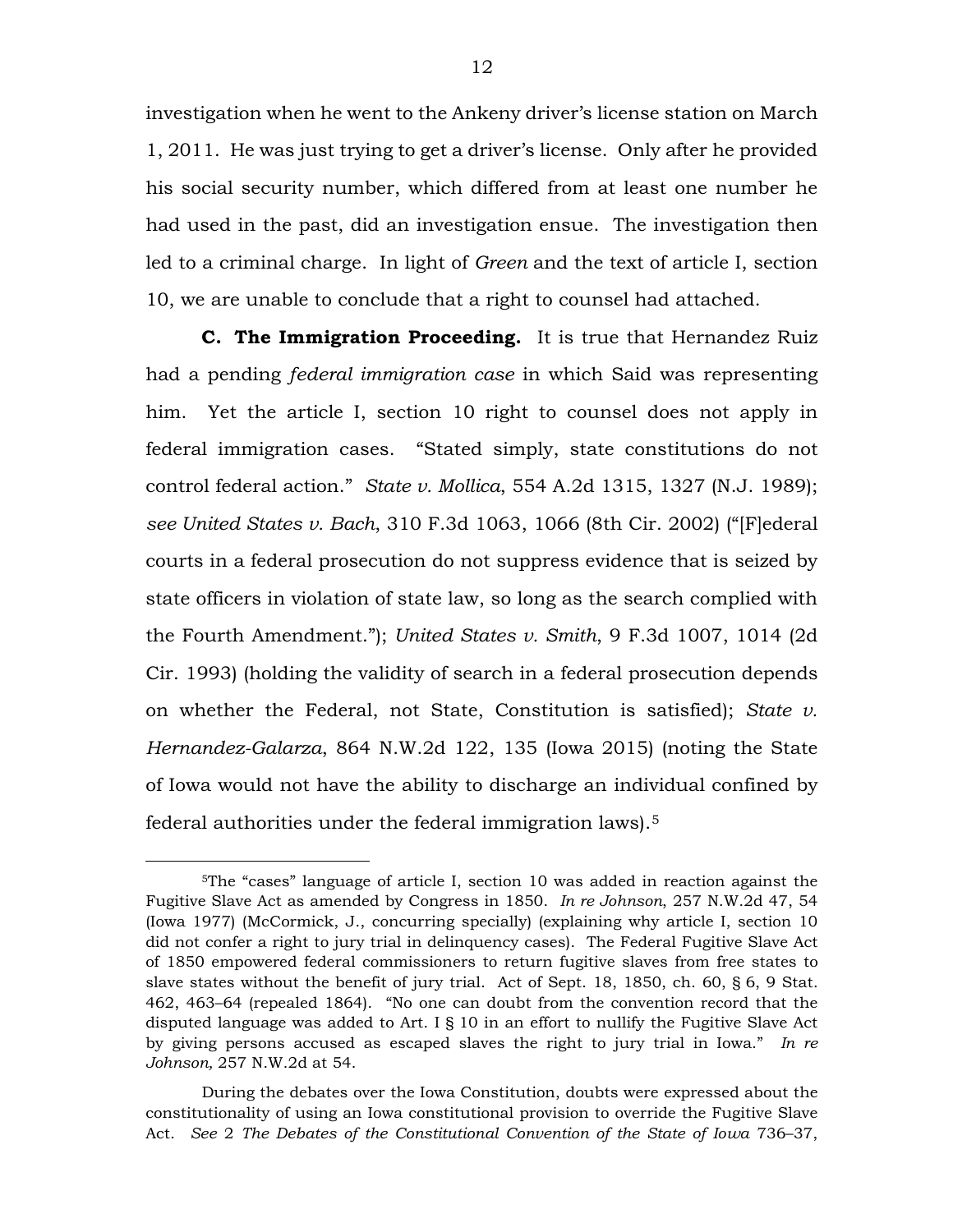investigation when he went to the Ankeny driver's license station on March 1, 2011. He was just trying to get a driver's license. Only after he provided his social security number, which differed from at least one number he had used in the past, did an investigation ensue. The investigation then led to a criminal charge. In light of *Green* and the text of article I, section 10, we are unable to conclude that a right to counsel had attached.

**C. The Immigration Proceeding.** It is true that Hernandez Ruiz had a pending *federal immigration case* in which Said was representing him. Yet the article I, section 10 right to counsel does not apply in federal immigration cases. "Stated simply, state constitutions do not control federal action." *State v. Mollica*, 554 A.2d 1315, 1327 (N.J. 1989); *see United States v. Bach*, [310 F.3d 1063, 1066 \(8th Cir.](https://1.next.westlaw.com/Link/Document/FullText?findType=Y&serNum=2002727105&pubNum=506&originatingDoc=I2f2bab49a91311e2a555d241dae65084&refType=RP&fi=co_pp_sp_506_1066&originationContext=document&transitionType=DocumentItem&contextData=(sc.DocLink)#co_pp_sp_506_1066) 2002) ("[F]ederal courts in a federal prosecution do not suppress evidence that is seized by state officers in violation of state law, so long as the search complied with the Fourth Amendment."); *United States v. Smith*[, 9 F.3d 1007, 1014 \(2d](https://1.next.westlaw.com/Link/Document/FullText?findType=Y&serNum=1993216345&pubNum=0000506&originatingDoc=Ife3260e07c2811e7b7978f65e9bf93b3&refType=RP&fi=co_pp_sp_506_1014&originationContext=document&transitionType=DocumentItem&contextData=(sc.Search)#co_pp_sp_506_1014)  [Cir. 1993\)](https://1.next.westlaw.com/Link/Document/FullText?findType=Y&serNum=1993216345&pubNum=0000506&originatingDoc=Ife3260e07c2811e7b7978f65e9bf93b3&refType=RP&fi=co_pp_sp_506_1014&originationContext=document&transitionType=DocumentItem&contextData=(sc.Search)#co_pp_sp_506_1014) (holding the validity of search in a federal prosecution depends on whether the Federal, not State, Constitution is satisfied); *State v. Hernandez-Galarza*, 864 N.W.2d 122, 135 (Iowa 2015) (noting the State of Iowa would not have the ability to discharge an individual confined by federal authorities under the federal immigration laws).[5](#page-11-0) 

<span id="page-11-0"></span> <sup>5</sup>The "cases" language of article I, section 10 was added in reaction against the Fugitive Slave Act as amended by Congress in 1850. *In re Johnson*, 257 N.W.2d 47, 54 (Iowa 1977) (McCormick, J., concurring specially) (explaining why article I, section 10 did not confer a right to jury trial in delinquency cases). The Federal Fugitive Slave Act of 1850 empowered federal commissioners to return fugitive slaves from free states to slave states without the benefit of jury trial. Act of Sept. 18, 1850, ch. 60, § 6, 9 Stat. 462, 463–64 (repealed 1864). "No one can doubt from the convention record that the disputed language was added to Art. I § 10 in an effort to nullify the Fugitive Slave Act by giving persons accused as escaped slaves the right to jury trial in Iowa." *In re Johnson,* 257 N.W.2d at 54.

During the debates over the Iowa Constitution, doubts were expressed about the constitutionality of using an Iowa constitutional provision to override the Fugitive Slave Act. *See* 2 *The Debates of the Constitutional Convention of the State of Iowa* 736–37,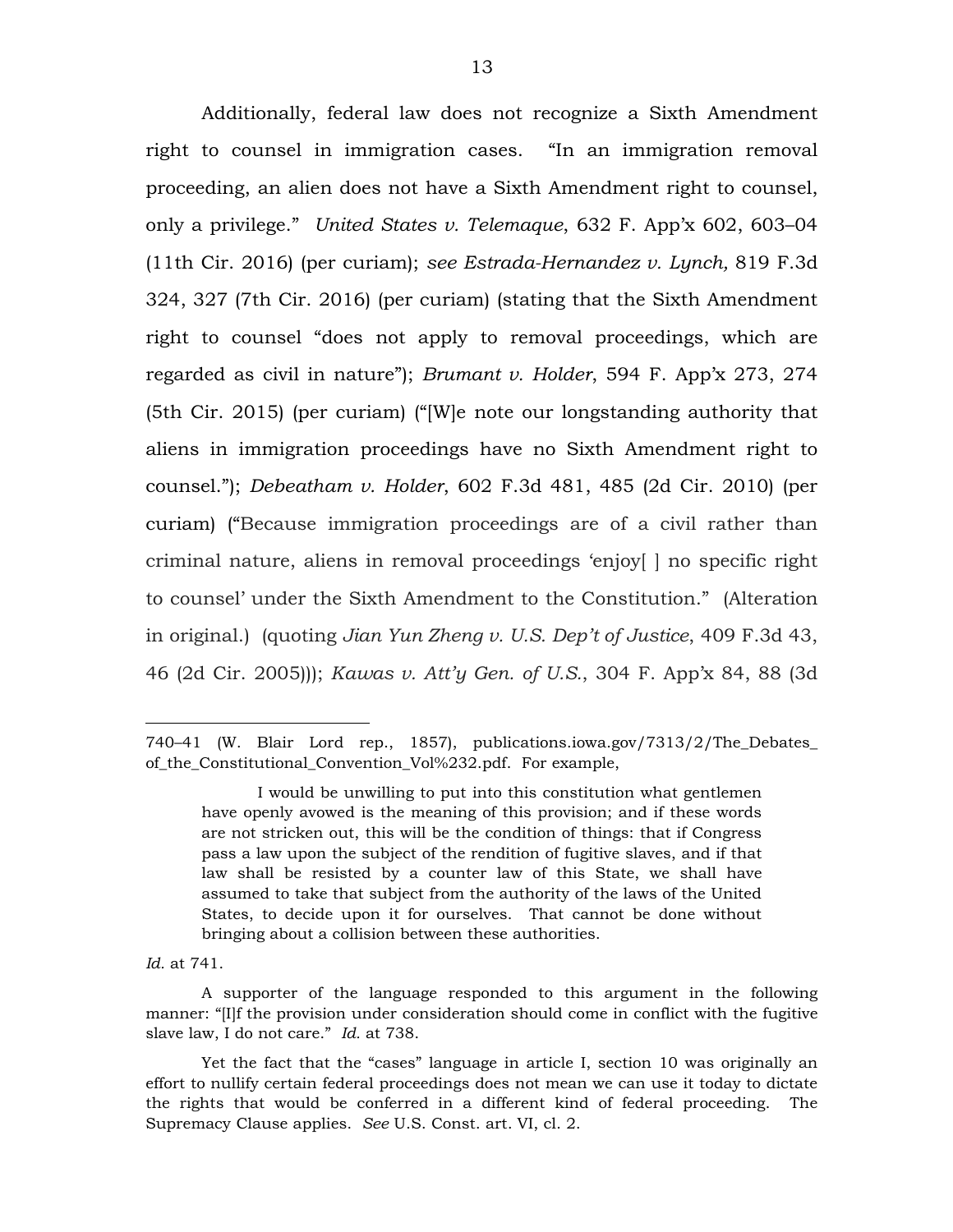Additionally, federal law does not recognize a Sixth Amendment right to counsel in immigration cases. "In an immigration removal proceeding, an alien does not have a Sixth Amendment right to counsel, only a privilege." *United States v. Telemaque*, 632 F. App'x 602, 603–04 (11th Cir. 2016) (per curiam); *see Estrada-Hernandez v. Lynch,* 819 F.3d 324, 327 (7th Cir. 2016) (per curiam) (stating that the Sixth Amendment right to counsel "does not apply to removal proceedings, which are regarded as civil in nature"); *Brumant v. Holder*, 594 F. App'x 273, 274 (5th Cir. 2015) (per curiam) ("[W]e note our longstanding authority that aliens in immigration proceedings have no Sixth Amendment right to counsel."); *Debeatham v. Holder*, 602 F.3d 481, 485 (2d Cir. 2010) (per curiam) ("Because immigration proceedings are of a civil rather than criminal nature, aliens in removal proceedings 'enjoy[ ] no specific right to counsel' under the Sixth Amendment to the Constitution." (Alteration in original.) (quoting *Jian Yun Zheng v. U.S. Dep't of Justice*, 409 F.3d 43, 46 (2d Cir. 2005))); *Kawas v. Att'y Gen. of U.S.*, 304 F. App'x 84, 88 (3d

*Id.* at 741.

 $\overline{a}$ 

<sup>740–41</sup> (W. Blair Lord rep., 1857), publications.iowa.gov/7313/2/The\_Debates\_ of\_the\_Constitutional\_Convention\_Vol%232.pdf. For example,

I would be unwilling to put into this constitution what gentlemen have openly avowed is the meaning of this provision; and if these words are not stricken out, this will be the condition of things: that if Congress pass a law upon the subject of the rendition of fugitive slaves, and if that law shall be resisted by a counter law of this State, we shall have assumed to take that subject from the authority of the laws of the United States, to decide upon it for ourselves. That cannot be done without bringing about a collision between these authorities.

A supporter of the language responded to this argument in the following manner: "[I]f the provision under consideration should come in conflict with the fugitive slave law, I do not care." *Id.* at 738.

Yet the fact that the "cases" language in article I, section 10 was originally an effort to nullify certain federal proceedings does not mean we can use it today to dictate the rights that would be conferred in a different kind of federal proceeding. The Supremacy Clause applies. *See* U.S. Const. art. VI, cl. 2.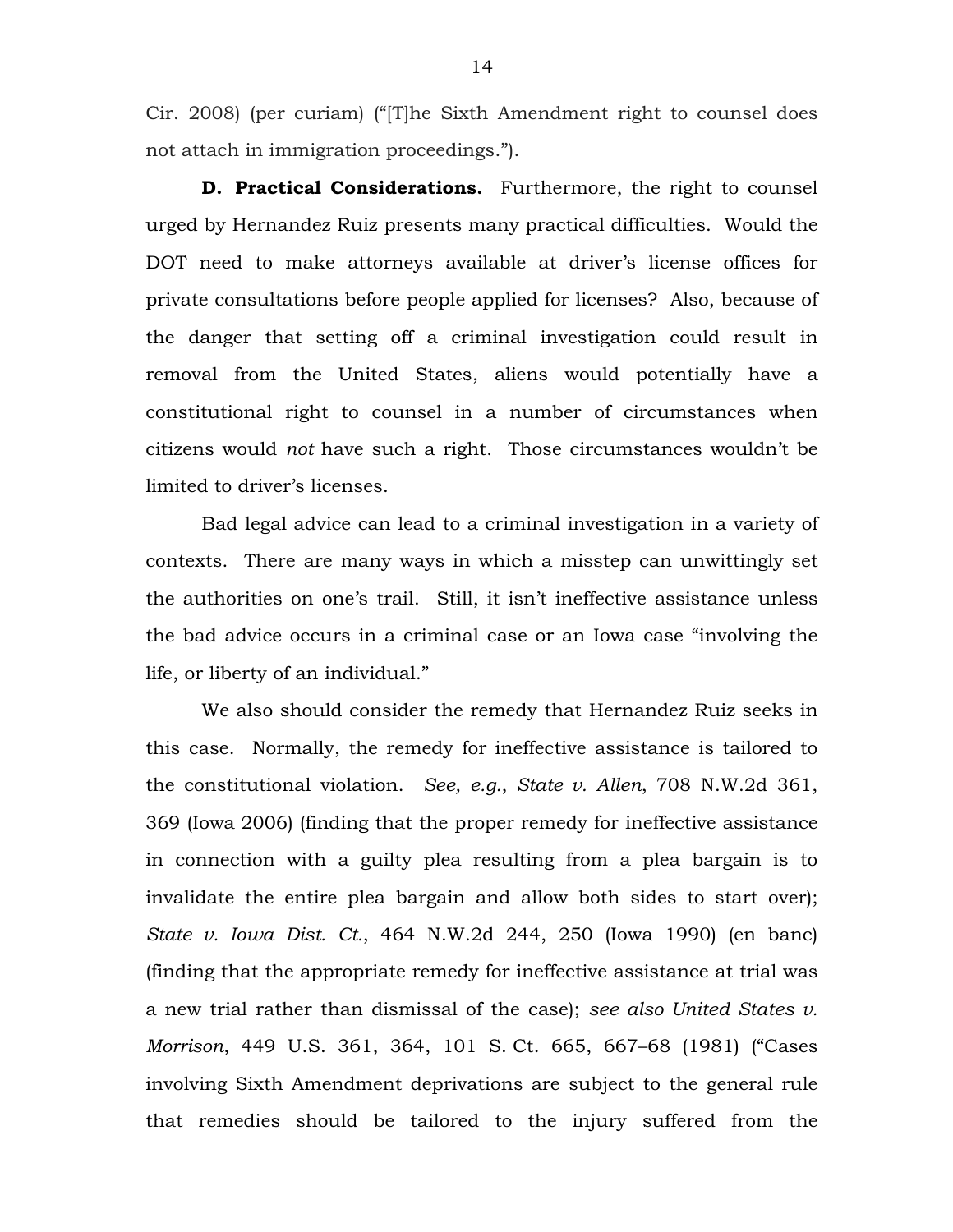Cir. 2008) (per curiam) ("[T]he Sixth Amendment right to counsel does not attach in immigration proceedings.").

**D. Practical Considerations.** Furthermore, the right to counsel urged by Hernandez Ruiz presents many practical difficulties. Would the DOT need to make attorneys available at driver's license offices for private consultations before people applied for licenses? Also, because of the danger that setting off a criminal investigation could result in removal from the United States, aliens would potentially have a constitutional right to counsel in a number of circumstances when citizens would *not* have such a right. Those circumstances wouldn't be limited to driver's licenses.

Bad legal advice can lead to a criminal investigation in a variety of contexts. There are many ways in which a misstep can unwittingly set the authorities on one's trail. Still, it isn't ineffective assistance unless the bad advice occurs in a criminal case or an Iowa case "involving the life, or liberty of an individual."

We also should consider the remedy that Hernandez Ruiz seeks in this case. Normally, the remedy for ineffective assistance is tailored to the constitutional violation. *See, e.g.*, *State v. Allen*, 708 N.W.2d 361, 369 (Iowa 2006) (finding that the proper remedy for ineffective assistance in connection with a guilty plea resulting from a plea bargain is to invalidate the entire plea bargain and allow both sides to start over); *State v. Iowa Dist. Ct.*, 464 N.W.2d 244, 250 (Iowa 1990) (en banc) (finding that the appropriate remedy for ineffective assistance at trial was a new trial rather than dismissal of the case); *see also United States v. Morrison*, 449 U.S. 361, 364, 101 S. Ct. 665, 667–68 (1981) ("Cases involving Sixth Amendment deprivations are subject to the general rule that remedies should be tailored to the injury suffered from the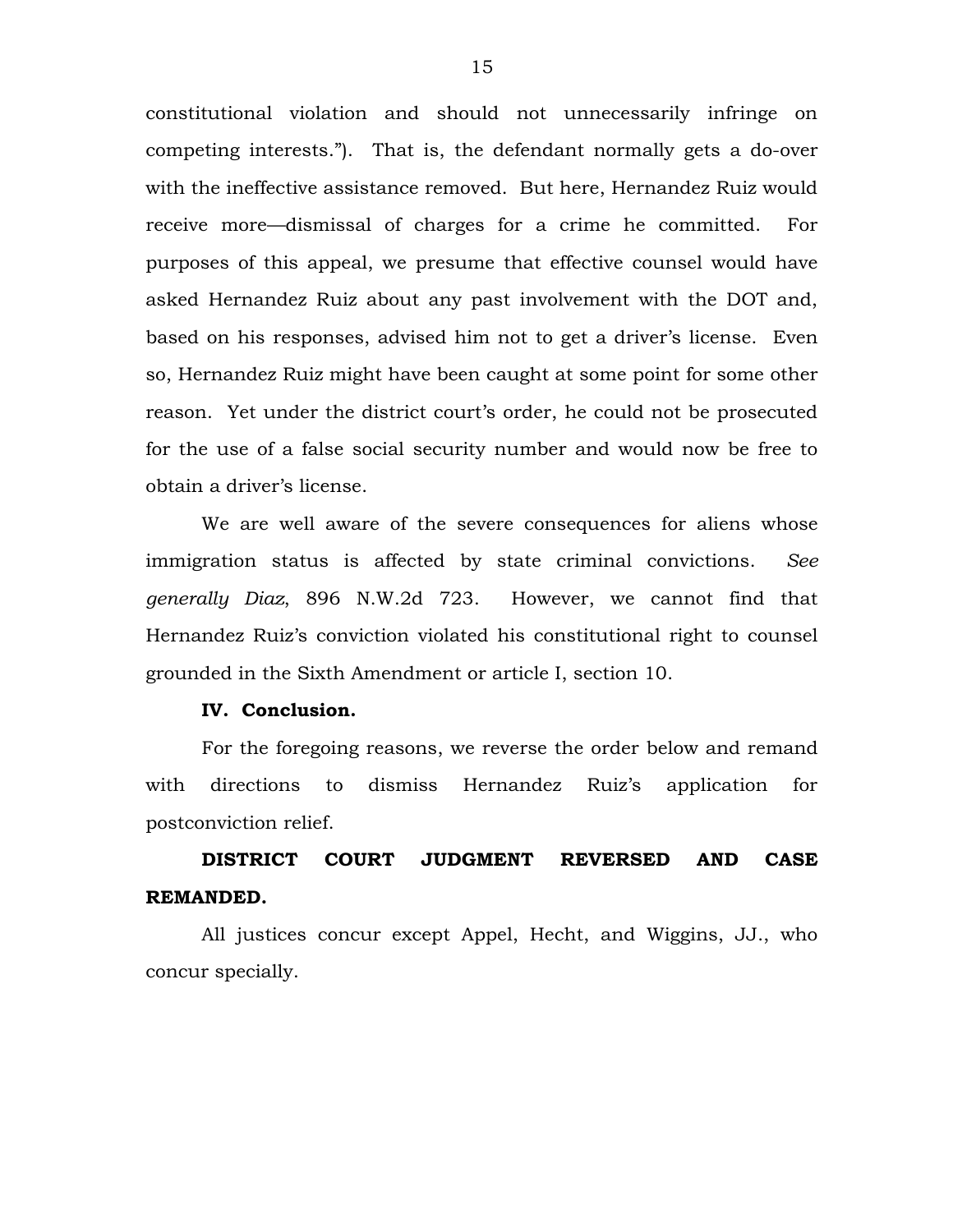constitutional violation and should not unnecessarily infringe on competing interests."). That is, the defendant normally gets a do-over with the ineffective assistance removed. But here, Hernandez Ruiz would receive more—dismissal of charges for a crime he committed. For purposes of this appeal, we presume that effective counsel would have asked Hernandez Ruiz about any past involvement with the DOT and, based on his responses, advised him not to get a driver's license. Even so, Hernandez Ruiz might have been caught at some point for some other reason. Yet under the district court's order, he could not be prosecuted for the use of a false social security number and would now be free to obtain a driver's license.

We are well aware of the severe consequences for aliens whose immigration status is affected by state criminal convictions. *See generally Diaz*, 896 N.W.2d 723. However, we cannot find that Hernandez Ruiz's conviction violated his constitutional right to counsel grounded in the Sixth Amendment or article I, section 10.

## **IV. Conclusion.**

For the foregoing reasons, we reverse the order below and remand with directions to dismiss Hernandez Ruiz's application for postconviction relief.

**DISTRICT COURT JUDGMENT REVERSED AND CASE REMANDED.**

All justices concur except Appel, Hecht, and Wiggins, JJ., who concur specially.